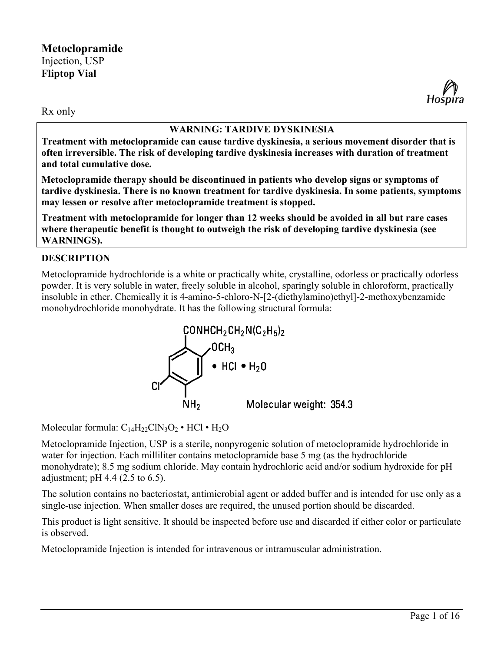

Rx only

# **WARNING: TARDIVE DYSKINESIA**

**Treatment with metoclopramide can cause tardive dyskinesia, a serious movement disorder that is often irreversible. The risk of developing tardive dyskinesia increases with duration of treatment and total cumulative dose.**

**Metoclopramide therapy should be discontinued in patients who develop signs or symptoms of tardive dyskinesia. There is no known treatment for tardive dyskinesia. In some patients, symptoms may lessen or resolve after metoclopramide treatment is stopped.**

**Treatment with metoclopramide for longer than 12 weeks should be avoided in all but rare cases where therapeutic benefit is thought to outweigh the risk of developing tardive dyskinesia (see WARNINGS).**

# **DESCRIPTION**

Metoclopramide hydrochloride is a white or practically white, crystalline, odorless or practically odorless powder. It is very soluble in water, freely soluble in alcohol, sparingly soluble in chloroform, practically insoluble in ether. Chemically it is 4-amino-5-chloro-N-[2-(diethylamino)ethyl]-2-methoxybenzamide monohydrochloride monohydrate. It has the following structural formula:



Molecular formula:  $C_{14}H_{22}CIN_3O_2 \cdot HCl \cdot H_2O$ 

Metoclopramide Injection, USP is a sterile, nonpyrogenic solution of metoclopramide hydrochloride in water for injection. Each milliliter contains metoclopramide base 5 mg (as the hydrochloride monohydrate); 8.5 mg sodium chloride. May contain hydrochloric acid and/or sodium hydroxide for pH adjustment; pH 4.4 (2.5 to 6.5).

The solution contains no bacteriostat, antimicrobial agent or added buffer and is intended for use only as a single-use injection. When smaller doses are required, the unused portion should be discarded.

This product is light sensitive. It should be inspected before use and discarded if either color or particulate is observed.

Metoclopramide Injection is intended for intravenous or intramuscular administration.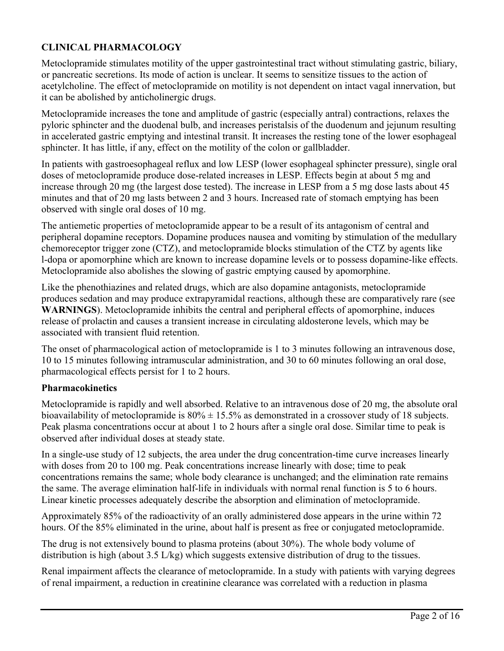# **CLINICAL PHARMACOLOGY**

Metoclopramide stimulates motility of the upper gastrointestinal tract without stimulating gastric, biliary, or pancreatic secretions. Its mode of action is unclear. It seems to sensitize tissues to the action of acetylcholine. The effect of metoclopramide on motility is not dependent on intact vagal innervation, but it can be abolished by anticholinergic drugs.

Metoclopramide increases the tone and amplitude of gastric (especially antral) contractions, relaxes the pyloric sphincter and the duodenal bulb, and increases peristalsis of the duodenum and jejunum resulting in accelerated gastric emptying and intestinal transit. It increases the resting tone of the lower esophageal sphincter. It has little, if any, effect on the motility of the colon or gallbladder.

In patients with gastroesophageal reflux and low LESP (lower esophageal sphincter pressure), single oral doses of metoclopramide produce dose-related increases in LESP. Effects begin at about 5 mg and increase through 20 mg (the largest dose tested). The increase in LESP from a 5 mg dose lasts about 45 minutes and that of 20 mg lasts between 2 and 3 hours. Increased rate of stomach emptying has been observed with single oral doses of 10 mg.

The antiemetic properties of metoclopramide appear to be a result of its antagonism of central and peripheral dopamine receptors. Dopamine produces nausea and vomiting by stimulation of the medullary chemoreceptor trigger zone (CTZ), and metoclopramide blocks stimulation of the CTZ by agents like l-dopa or apomorphine which are known to increase dopamine levels or to possess dopamine-like effects. Metoclopramide also abolishes the slowing of gastric emptying caused by apomorphine.

Like the phenothiazines and related drugs, which are also dopamine antagonists, metoclopramide produces sedation and may produce extrapyramidal reactions, although these are comparatively rare (see **WARNINGS**). Metoclopramide inhibits the central and peripheral effects of apomorphine, induces release of prolactin and causes a transient increase in circulating aldosterone levels, which may be associated with transient fluid retention.

The onset of pharmacological action of metoclopramide is 1 to 3 minutes following an intravenous dose, 10 to 15 minutes following intramuscular administration, and 30 to 60 minutes following an oral dose, pharmacological effects persist for 1 to 2 hours.

### **Pharmacokinetics**

Metoclopramide is rapidly and well absorbed. Relative to an intravenous dose of 20 mg, the absolute oral bioavailability of metoclopramide is  $80\% \pm 15.5\%$  as demonstrated in a crossover study of 18 subjects. Peak plasma concentrations occur at about 1 to 2 hours after a single oral dose. Similar time to peak is observed after individual doses at steady state.

In a single-use study of 12 subjects, the area under the drug concentration-time curve increases linearly with doses from 20 to 100 mg. Peak concentrations increase linearly with dose; time to peak concentrations remains the same; whole body clearance is unchanged; and the elimination rate remains the same. The average elimination half-life in individuals with normal renal function is 5 to 6 hours. Linear kinetic processes adequately describe the absorption and elimination of metoclopramide.

Approximately 85% of the radioactivity of an orally administered dose appears in the urine within 72 hours. Of the 85% eliminated in the urine, about half is present as free or conjugated metoclopramide.

The drug is not extensively bound to plasma proteins (about 30%). The whole body volume of distribution is high (about 3.5 L/kg) which suggests extensive distribution of drug to the tissues.

Renal impairment affects the clearance of metoclopramide. In a study with patients with varying degrees of renal impairment, a reduction in creatinine clearance was correlated with a reduction in plasma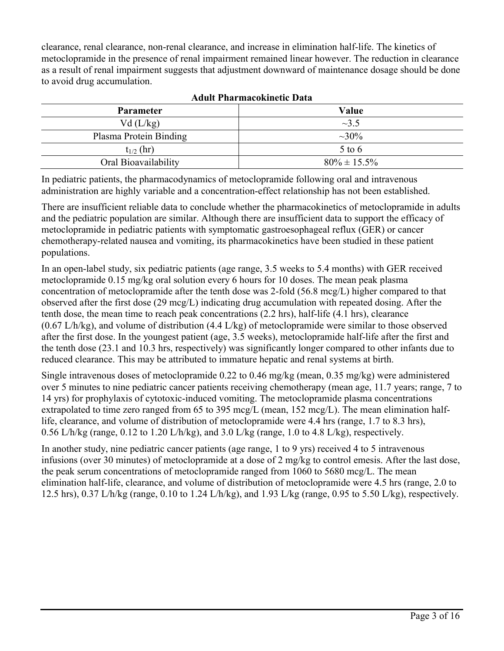clearance, renal clearance, non-renal clearance, and increase in elimination half-life. The kinetics of metoclopramide in the presence of renal impairment remained linear however. The reduction in clearance as a result of renal impairment suggests that adjustment downward of maintenance dosage should be done to avoid drug accumulation.

| <b>Parameter</b>       | Value             |  |  |
|------------------------|-------------------|--|--|
| Vd(L/kg)               | $\sim$ 3.5        |  |  |
| Plasma Protein Binding | $\sim 30\%$       |  |  |
| $t_{1/2}$ (hr)         | $5$ to 6          |  |  |
| Oral Bioavailability   | $80\% \pm 15.5\%$ |  |  |

### **Adult Pharmacokinetic Data**

In pediatric patients, the pharmacodynamics of metoclopramide following oral and intravenous administration are highly variable and a concentration-effect relationship has not been established.

There are insufficient reliable data to conclude whether the pharmacokinetics of metoclopramide in adults and the pediatric population are similar. Although there are insufficient data to support the efficacy of metoclopramide in pediatric patients with symptomatic gastroesophageal reflux (GER) or cancer chemotherapy-related nausea and vomiting, its pharmacokinetics have been studied in these patient populations.

In an open-label study, six pediatric patients (age range, 3.5 weeks to 5.4 months) with GER received metoclopramide 0.15 mg/kg oral solution every 6 hours for 10 doses. The mean peak plasma concentration of metoclopramide after the tenth dose was 2-fold (56.8 mcg/L) higher compared to that observed after the first dose (29 mcg/L) indicating drug accumulation with repeated dosing. After the tenth dose, the mean time to reach peak concentrations (2.2 hrs), half-life (4.1 hrs), clearance (0.67 L/h/kg), and volume of distribution (4.4 L/kg) of metoclopramide were similar to those observed after the first dose. In the youngest patient (age, 3.5 weeks), metoclopramide half-life after the first and the tenth dose (23.1 and 10.3 hrs, respectively) was significantly longer compared to other infants due to reduced clearance. This may be attributed to immature hepatic and renal systems at birth.

Single intravenous doses of metoclopramide 0.22 to 0.46 mg/kg (mean, 0.35 mg/kg) were administered over 5 minutes to nine pediatric cancer patients receiving chemotherapy (mean age, 11.7 years; range, 7 to 14 yrs) for prophylaxis of cytotoxic-induced vomiting. The metoclopramide plasma concentrations extrapolated to time zero ranged from 65 to 395 mcg/L (mean, 152 mcg/L). The mean elimination halflife, clearance, and volume of distribution of metoclopramide were 4.4 hrs (range, 1.7 to 8.3 hrs), 0.56 L/h/kg (range, 0.12 to 1.20 L/h/kg), and 3.0 L/kg (range, 1.0 to 4.8 L/kg), respectively.

In another study, nine pediatric cancer patients (age range, 1 to 9 yrs) received 4 to 5 intravenous infusions (over 30 minutes) of metoclopramide at a dose of 2 mg/kg to control emesis. After the last dose, the peak serum concentrations of metoclopramide ranged from 1060 to 5680 mcg/L. The mean elimination half-life, clearance, and volume of distribution of metoclopramide were 4.5 hrs (range, 2.0 to 12.5 hrs), 0.37 L/h/kg (range, 0.10 to 1.24 L/h/kg), and 1.93 L/kg (range, 0.95 to 5.50 L/kg), respectively.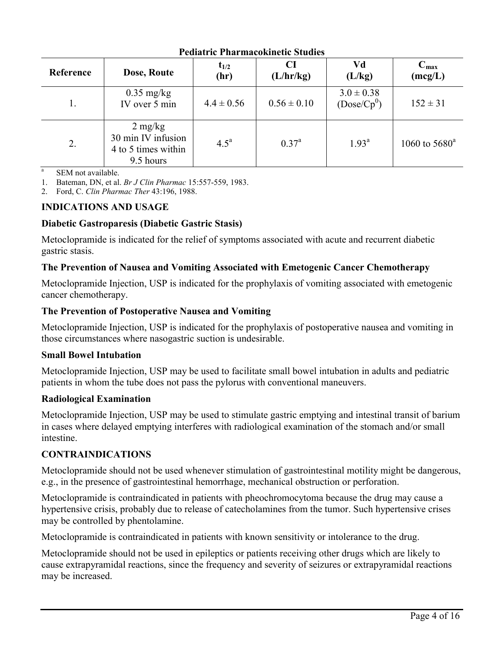| <b>Reference</b> | Dose, Route                                                                 | $t_{1/2}$<br>(hr)  | CI<br>(L/hr/kg) | Vd<br>(L/kg)                    | $C_{\text{max}}$<br>(mcg/L) |
|------------------|-----------------------------------------------------------------------------|--------------------|-----------------|---------------------------------|-----------------------------|
|                  | $0.35 \text{ mg/kg}$<br>IV over 5 min                                       | $4.4 \pm 0.56$     | $0.56 \pm 0.10$ | $3.0 \pm 0.38$<br>$(Dose/Cp^0)$ | $152 \pm 31$                |
| 2.               | $2 \text{ mg/kg}$<br>30 min IV infusion<br>4 to 5 times within<br>9.5 hours | $4.5^{\mathrm{a}}$ | $0.37^{\rm a}$  | $1.93^{\text{a}}$               | 1060 to $5680^{\circ}$      |

**Pediatric Pharmacokinetic Studies**

a SEM not available.

1. Bateman, DN, et al. *Br J Clin Pharmac* 15:557-559, 1983.

2. Ford, C. *Clin Pharmac Ther* 43:196, 1988.

### **INDICATIONS AND USAGE**

### **Diabetic Gastroparesis (Diabetic Gastric Stasis)**

Metoclopramide is indicated for the relief of symptoms associated with acute and recurrent diabetic gastric stasis.

### **The Prevention of Nausea and Vomiting Associated with Emetogenic Cancer Chemotherapy**

Metoclopramide Injection, USP is indicated for the prophylaxis of vomiting associated with emetogenic cancer chemotherapy.

## **The Prevention of Postoperative Nausea and Vomiting**

Metoclopramide Injection, USP is indicated for the prophylaxis of postoperative nausea and vomiting in those circumstances where nasogastric suction is undesirable.

### **Small Bowel Intubation**

Metoclopramide Injection, USP may be used to facilitate small bowel intubation in adults and pediatric patients in whom the tube does not pass the pylorus with conventional maneuvers.

### **Radiological Examination**

Metoclopramide Injection, USP may be used to stimulate gastric emptying and intestinal transit of barium in cases where delayed emptying interferes with radiological examination of the stomach and/or small intestine.

### **CONTRAINDICATIONS**

Metoclopramide should not be used whenever stimulation of gastrointestinal motility might be dangerous, e.g., in the presence of gastrointestinal hemorrhage, mechanical obstruction or perforation.

Metoclopramide is contraindicated in patients with pheochromocytoma because the drug may cause a hypertensive crisis, probably due to release of catecholamines from the tumor. Such hypertensive crises may be controlled by phentolamine.

Metoclopramide is contraindicated in patients with known sensitivity or intolerance to the drug.

Metoclopramide should not be used in epileptics or patients receiving other drugs which are likely to cause extrapyramidal reactions, since the frequency and severity of seizures or extrapyramidal reactions may be increased.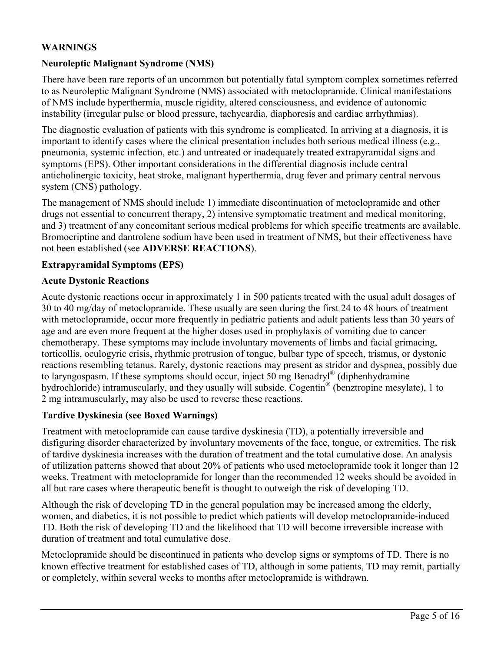# **WARNINGS**

### **Neuroleptic Malignant Syndrome (NMS)**

There have been rare reports of an uncommon but potentially fatal symptom complex sometimes referred to as Neuroleptic Malignant Syndrome (NMS) associated with metoclopramide. Clinical manifestations of NMS include hyperthermia, muscle rigidity, altered consciousness, and evidence of autonomic instability (irregular pulse or blood pressure, tachycardia, diaphoresis and cardiac arrhythmias).

The diagnostic evaluation of patients with this syndrome is complicated. In arriving at a diagnosis, it is important to identify cases where the clinical presentation includes both serious medical illness (e.g., pneumonia, systemic infection, etc.) and untreated or inadequately treated extrapyramidal signs and symptoms (EPS). Other important considerations in the differential diagnosis include central anticholinergic toxicity, heat stroke, malignant hyperthermia, drug fever and primary central nervous system (CNS) pathology.

The management of NMS should include 1) immediate discontinuation of metoclopramide and other drugs not essential to concurrent therapy, 2) intensive symptomatic treatment and medical monitoring, and 3) treatment of any concomitant serious medical problems for which specific treatments are available. Bromocriptine and dantrolene sodium have been used in treatment of NMS, but their effectiveness have not been established (see **ADVERSE REACTIONS**).

### **Extrapyramidal Symptoms (EPS)**

### **Acute Dystonic Reactions**

Acute dystonic reactions occur in approximately 1 in 500 patients treated with the usual adult dosages of 30 to 40 mg/day of metoclopramide. These usually are seen during the first 24 to 48 hours of treatment with metoclopramide, occur more frequently in pediatric patients and adult patients less than 30 years of age and are even more frequent at the higher doses used in prophylaxis of vomiting due to cancer chemotherapy. These symptoms may include involuntary movements of limbs and facial grimacing, torticollis, oculogyric crisis, rhythmic protrusion of tongue, bulbar type of speech, trismus, or dystonic reactions resembling tetanus. Rarely, dystonic reactions may present as stridor and dyspnea, possibly due to laryngospasm. If these symptoms should occur, inject 50 mg Benadryl ® (diphenhydramine hydrochloride) intramuscularly, and they usually will subside. Cogentin<sup>®</sup> (benztropine mesylate), 1 to 2 mg intramuscularly, may also be used to reverse these reactions.

### **Tardive Dyskinesia (see Boxed Warnings)**

Treatment with metoclopramide can cause tardive dyskinesia (TD), a potentially irreversible and disfiguring disorder characterized by involuntary movements of the face, tongue, or extremities. The risk of tardive dyskinesia increases with the duration of treatment and the total cumulative dose. An analysis of utilization patterns showed that about 20% of patients who used metoclopramide took it longer than 12 weeks. Treatment with metoclopramide for longer than the recommended 12 weeks should be avoided in all but rare cases where therapeutic benefit is thought to outweigh the risk of developing TD.

Although the risk of developing TD in the general population may be increased among the elderly, women, and diabetics, it is not possible to predict which patients will develop metoclopramide-induced TD. Both the risk of developing TD and the likelihood that TD will become irreversible increase with duration of treatment and total cumulative dose.

Metoclopramide should be discontinued in patients who develop signs or symptoms of TD. There is no known effective treatment for established cases of TD, although in some patients, TD may remit, partially or completely, within several weeks to months after metoclopramide is withdrawn.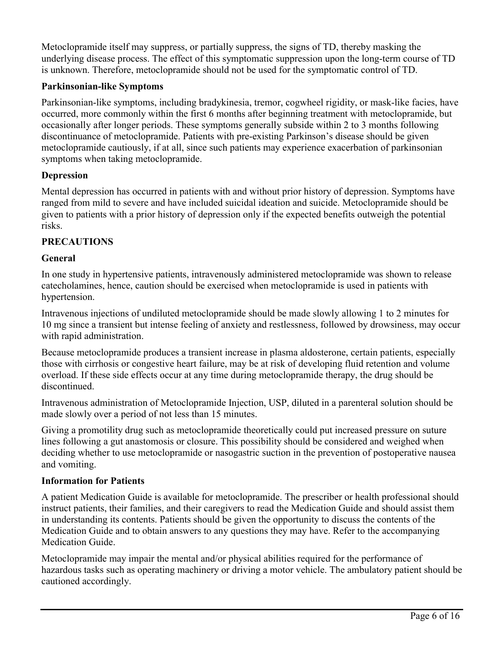Metoclopramide itself may suppress, or partially suppress, the signs of TD, thereby masking the underlying disease process. The effect of this symptomatic suppression upon the long-term course of TD is unknown. Therefore, metoclopramide should not be used for the symptomatic control of TD.

## **Parkinsonian-like Symptoms**

Parkinsonian-like symptoms, including bradykinesia, tremor, cogwheel rigidity, or mask-like facies, have occurred, more commonly within the first 6 months after beginning treatment with metoclopramide, but occasionally after longer periods. These symptoms generally subside within 2 to 3 months following discontinuance of metoclopramide. Patients with pre-existing Parkinson's disease should be given metoclopramide cautiously, if at all, since such patients may experience exacerbation of parkinsonian symptoms when taking metoclopramide.

# **Depression**

Mental depression has occurred in patients with and without prior history of depression. Symptoms have ranged from mild to severe and have included suicidal ideation and suicide. Metoclopramide should be given to patients with a prior history of depression only if the expected benefits outweigh the potential risks.

# **PRECAUTIONS**

## **General**

In one study in hypertensive patients, intravenously administered metoclopramide was shown to release catecholamines, hence, caution should be exercised when metoclopramide is used in patients with hypertension.

Intravenous injections of undiluted metoclopramide should be made slowly allowing 1 to 2 minutes for 10 mg since a transient but intense feeling of anxiety and restlessness, followed by drowsiness, may occur with rapid administration.

Because metoclopramide produces a transient increase in plasma aldosterone, certain patients, especially those with cirrhosis or congestive heart failure, may be at risk of developing fluid retention and volume overload. If these side effects occur at any time during metoclopramide therapy, the drug should be discontinued.

Intravenous administration of Metoclopramide Injection, USP, diluted in a parenteral solution should be made slowly over a period of not less than 15 minutes.

Giving a promotility drug such as metoclopramide theoretically could put increased pressure on suture lines following a gut anastomosis or closure. This possibility should be considered and weighed when deciding whether to use metoclopramide or nasogastric suction in the prevention of postoperative nausea and vomiting.

### **Information for Patients**

A patient Medication Guide is available for metoclopramide. The prescriber or health professional should instruct patients, their families, and their caregivers to read the Medication Guide and should assist them in understanding its contents. Patients should be given the opportunity to discuss the contents of the Medication Guide and to obtain answers to any questions they may have. Refer to the accompanying Medication Guide.

Metoclopramide may impair the mental and/or physical abilities required for the performance of hazardous tasks such as operating machinery or driving a motor vehicle. The ambulatory patient should be cautioned accordingly.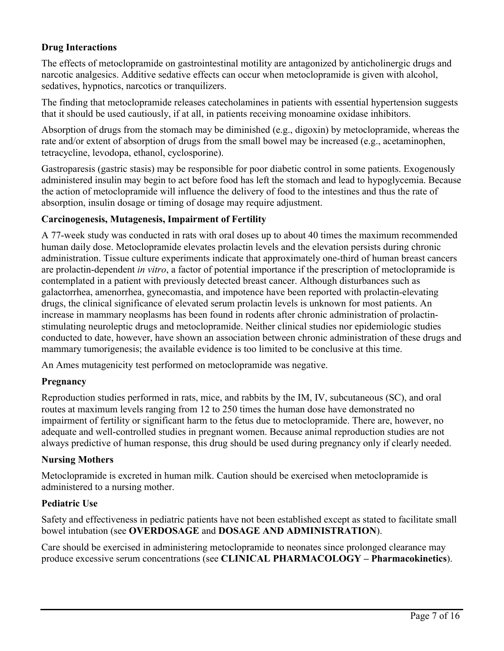# **Drug Interactions**

The effects of metoclopramide on gastrointestinal motility are antagonized by anticholinergic drugs and narcotic analgesics. Additive sedative effects can occur when metoclopramide is given with alcohol, sedatives, hypnotics, narcotics or tranquilizers.

The finding that metoclopramide releases catecholamines in patients with essential hypertension suggests that it should be used cautiously, if at all, in patients receiving monoamine oxidase inhibitors.

Absorption of drugs from the stomach may be diminished (e.g., digoxin) by metoclopramide, whereas the rate and/or extent of absorption of drugs from the small bowel may be increased (e.g., acetaminophen, tetracycline, levodopa, ethanol, cyclosporine).

Gastroparesis (gastric stasis) may be responsible for poor diabetic control in some patients. Exogenously administered insulin may begin to act before food has left the stomach and lead to hypoglycemia. Because the action of metoclopramide will influence the delivery of food to the intestines and thus the rate of absorption, insulin dosage or timing of dosage may require adjustment.

#### **Carcinogenesis, Mutagenesis, Impairment of Fertility**

A 77-week study was conducted in rats with oral doses up to about 40 times the maximum recommended human daily dose. Metoclopramide elevates prolactin levels and the elevation persists during chronic administration. Tissue culture experiments indicate that approximately one-third of human breast cancers are prolactin-dependent *in vitro*, a factor of potential importance if the prescription of metoclopramide is contemplated in a patient with previously detected breast cancer. Although disturbances such as galactorrhea, amenorrhea, gynecomastia, and impotence have been reported with prolactin-elevating drugs, the clinical significance of elevated serum prolactin levels is unknown for most patients. An increase in mammary neoplasms has been found in rodents after chronic administration of prolactinstimulating neuroleptic drugs and metoclopramide. Neither clinical studies nor epidemiologic studies conducted to date, however, have shown an association between chronic administration of these drugs and mammary tumorigenesis; the available evidence is too limited to be conclusive at this time.

An Ames mutagenicity test performed on metoclopramide was negative.

### **Pregnancy**

Reproduction studies performed in rats, mice, and rabbits by the IM, IV, subcutaneous (SC), and oral routes at maximum levels ranging from 12 to 250 times the human dose have demonstrated no impairment of fertility or significant harm to the fetus due to metoclopramide. There are, however, no adequate and well-controlled studies in pregnant women. Because animal reproduction studies are not always predictive of human response, this drug should be used during pregnancy only if clearly needed.

### **Nursing Mothers**

Metoclopramide is excreted in human milk. Caution should be exercised when metoclopramide is administered to a nursing mother.

#### **Pediatric Use**

Safety and effectiveness in pediatric patients have not been established except as stated to facilitate small bowel intubation (see **OVERDOSAGE** and **DOSAGE AND ADMINISTRATION**).

Care should be exercised in administering metoclopramide to neonates since prolonged clearance may produce excessive serum concentrations (see **CLINICAL PHARMACOLOGY – Pharmacokinetics**).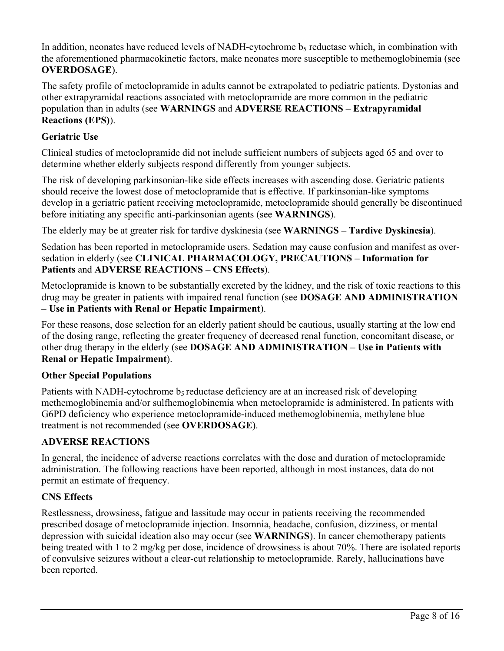In addition, neonates have reduced levels of NADH-cytochrome  $b<sub>5</sub>$  reductase which, in combination with the aforementioned pharmacokinetic factors, make neonates more susceptible to methemoglobinemia (see **OVERDOSAGE**).

The safety profile of metoclopramide in adults cannot be extrapolated to pediatric patients. Dystonias and other extrapyramidal reactions associated with metoclopramide are more common in the pediatric population than in adults (see **WARNINGS** and **ADVERSE REACTIONS – Extrapyramidal Reactions (EPS)**).

# **Geriatric Use**

Clinical studies of metoclopramide did not include sufficient numbers of subjects aged 65 and over to determine whether elderly subjects respond differently from younger subjects.

The risk of developing parkinsonian-like side effects increases with ascending dose. Geriatric patients should receive the lowest dose of metoclopramide that is effective. If parkinsonian-like symptoms develop in a geriatric patient receiving metoclopramide, metoclopramide should generally be discontinued before initiating any specific anti-parkinsonian agents (see **WARNINGS**).

The elderly may be at greater risk for tardive dyskinesia (see **WARNINGS – Tardive Dyskinesia**).

Sedation has been reported in metoclopramide users. Sedation may cause confusion and manifest as oversedation in elderly (see **CLINICAL PHARMACOLOGY, PRECAUTIONS – Information for Patients** and **ADVERSE REACTIONS – CNS Effects**).

Metoclopramide is known to be substantially excreted by the kidney, and the risk of toxic reactions to this drug may be greater in patients with impaired renal function (see **DOSAGE AND ADMINISTRATION – Use in Patients with Renal or Hepatic Impairment**).

For these reasons, dose selection for an elderly patient should be cautious, usually starting at the low end of the dosing range, reflecting the greater frequency of decreased renal function, concomitant disease, or other drug therapy in the elderly (see **DOSAGE AND ADMINISTRATION – Use in Patients with Renal or Hepatic Impairment**).

# **Other Special Populations**

Patients with NADH-cytochrome  $b_5$  reductase deficiency are at an increased risk of developing methemoglobinemia and/or sulfhemoglobinemia when metoclopramide is administered. In patients with G6PD deficiency who experience metoclopramide-induced methemoglobinemia, methylene blue treatment is not recommended (see **OVERDOSAGE**).

# **ADVERSE REACTIONS**

In general, the incidence of adverse reactions correlates with the dose and duration of metoclopramide administration. The following reactions have been reported, although in most instances, data do not permit an estimate of frequency.

# **CNS Effects**

Restlessness, drowsiness, fatigue and lassitude may occur in patients receiving the recommended prescribed dosage of metoclopramide injection. Insomnia, headache, confusion, dizziness, or mental depression with suicidal ideation also may occur (see **WARNINGS**). In cancer chemotherapy patients being treated with 1 to 2 mg/kg per dose, incidence of drowsiness is about 70%. There are isolated reports of convulsive seizures without a clear-cut relationship to metoclopramide. Rarely, hallucinations have been reported.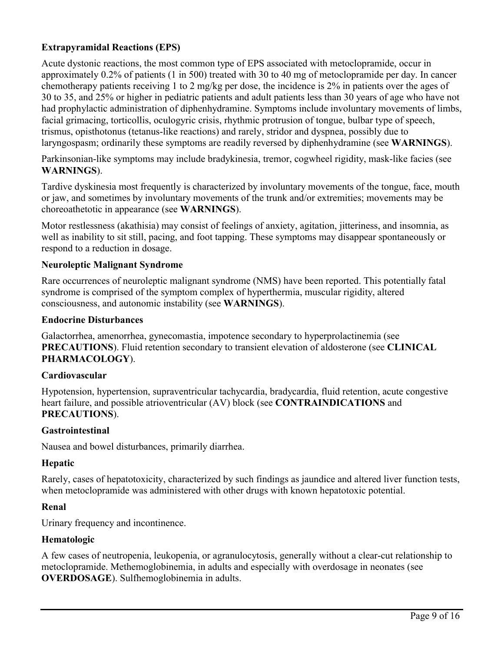## **Extrapyramidal Reactions (EPS)**

Acute dystonic reactions, the most common type of EPS associated with metoclopramide, occur in approximately 0.2% of patients (1 in 500) treated with 30 to 40 mg of metoclopramide per day. In cancer chemotherapy patients receiving 1 to 2 mg/kg per dose, the incidence is 2% in patients over the ages of 30 to 35, and 25% or higher in pediatric patients and adult patients less than 30 years of age who have not had prophylactic administration of diphenhydramine. Symptoms include involuntary movements of limbs, facial grimacing, torticollis, oculogyric crisis, rhythmic protrusion of tongue, bulbar type of speech, trismus, opisthotonus (tetanus-like reactions) and rarely, stridor and dyspnea, possibly due to laryngospasm; ordinarily these symptoms are readily reversed by diphenhydramine (see **WARNINGS**).

Parkinsonian-like symptoms may include bradykinesia, tremor, cogwheel rigidity, mask-like facies (see **WARNINGS**).

Tardive dyskinesia most frequently is characterized by involuntary movements of the tongue, face, mouth or jaw, and sometimes by involuntary movements of the trunk and/or extremities; movements may be choreoathetotic in appearance (see **WARNINGS**).

Motor restlessness (akathisia) may consist of feelings of anxiety, agitation, jitteriness, and insomnia, as well as inability to sit still, pacing, and foot tapping. These symptoms may disappear spontaneously or respond to a reduction in dosage.

#### **Neuroleptic Malignant Syndrome**

Rare occurrences of neuroleptic malignant syndrome (NMS) have been reported. This potentially fatal syndrome is comprised of the symptom complex of hyperthermia, muscular rigidity, altered consciousness, and autonomic instability (see **WARNINGS**).

#### **Endocrine Disturbances**

Galactorrhea, amenorrhea, gynecomastia, impotence secondary to hyperprolactinemia (see **PRECAUTIONS**). Fluid retention secondary to transient elevation of aldosterone (see **CLINICAL PHARMACOLOGY**).

#### **Cardiovascular**

Hypotension, hypertension, supraventricular tachycardia, bradycardia, fluid retention, acute congestive heart failure, and possible atrioventricular (AV) block (see **CONTRAINDICATIONS** and **PRECAUTIONS**).

#### **Gastrointestinal**

Nausea and bowel disturbances, primarily diarrhea.

#### **Hepatic**

Rarely, cases of hepatotoxicity, characterized by such findings as jaundice and altered liver function tests, when metoclopramide was administered with other drugs with known hepatotoxic potential.

#### **Renal**

Urinary frequency and incontinence.

#### **Hematologic**

A few cases of neutropenia, leukopenia, or agranulocytosis, generally without a clear-cut relationship to metoclopramide. Methemoglobinemia, in adults and especially with overdosage in neonates (see **OVERDOSAGE**). Sulfhemoglobinemia in adults.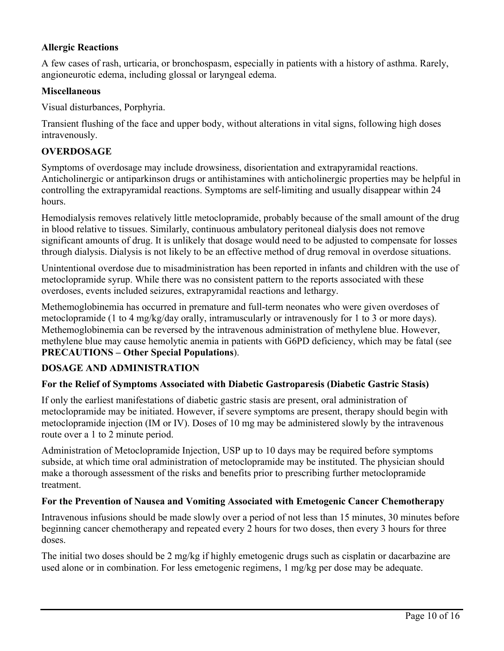### **Allergic Reactions**

A few cases of rash, urticaria, or bronchospasm, especially in patients with a history of asthma. Rarely, angioneurotic edema, including glossal or laryngeal edema.

#### **Miscellaneous**

Visual disturbances, Porphyria.

Transient flushing of the face and upper body, without alterations in vital signs, following high doses intravenously.

### **OVERDOSAGE**

Symptoms of overdosage may include drowsiness, disorientation and extrapyramidal reactions. Anticholinergic or antiparkinson drugs or antihistamines with anticholinergic properties may be helpful in controlling the extrapyramidal reactions. Symptoms are self-limiting and usually disappear within 24 hours.

Hemodialysis removes relatively little metoclopramide, probably because of the small amount of the drug in blood relative to tissues. Similarly, continuous ambulatory peritoneal dialysis does not remove significant amounts of drug. It is unlikely that dosage would need to be adjusted to compensate for losses through dialysis. Dialysis is not likely to be an effective method of drug removal in overdose situations.

Unintentional overdose due to misadministration has been reported in infants and children with the use of metoclopramide syrup. While there was no consistent pattern to the reports associated with these overdoses, events included seizures, extrapyramidal reactions and lethargy.

Methemoglobinemia has occurred in premature and full-term neonates who were given overdoses of metoclopramide (1 to 4 mg/kg/day orally, intramuscularly or intravenously for 1 to 3 or more days). Methemoglobinemia can be reversed by the intravenous administration of methylene blue. However, methylene blue may cause hemolytic anemia in patients with G6PD deficiency, which may be fatal (see **PRECAUTIONS** *–* **Other Special Populations**).

# **DOSAGE AND ADMINISTRATION**

### **For the Relief of Symptoms Associated with Diabetic Gastroparesis (Diabetic Gastric Stasis)**

If only the earliest manifestations of diabetic gastric stasis are present, oral administration of metoclopramide may be initiated. However, if severe symptoms are present, therapy should begin with metoclopramide injection (IM or IV). Doses of 10 mg may be administered slowly by the intravenous route over a 1 to 2 minute period.

Administration of Metoclopramide Injection, USP up to 10 days may be required before symptoms subside, at which time oral administration of metoclopramide may be instituted. The physician should make a thorough assessment of the risks and benefits prior to prescribing further metoclopramide treatment.

### **For the Prevention of Nausea and Vomiting Associated with Emetogenic Cancer Chemotherapy**

Intravenous infusions should be made slowly over a period of not less than 15 minutes, 30 minutes before beginning cancer chemotherapy and repeated every 2 hours for two doses, then every 3 hours for three doses.

The initial two doses should be 2 mg/kg if highly emetogenic drugs such as cisplatin or dacarbazine are used alone or in combination. For less emetogenic regimens, 1 mg/kg per dose may be adequate.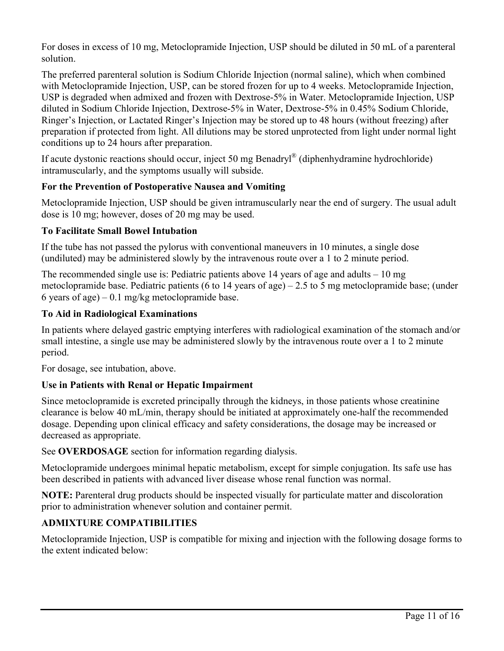For doses in excess of 10 mg, Metoclopramide Injection, USP should be diluted in 50 mL of a parenteral solution.

The preferred parenteral solution is Sodium Chloride Injection (normal saline), which when combined with Metoclopramide Injection, USP, can be stored frozen for up to 4 weeks. Metoclopramide Injection, USP is degraded when admixed and frozen with Dextrose-5% in Water. Metoclopramide Injection, USP diluted in Sodium Chloride Injection, Dextrose-5% in Water, Dextrose-5% in 0.45% Sodium Chloride, Ringer's Injection, or Lactated Ringer's Injection may be stored up to 48 hours (without freezing) after preparation if protected from light. All dilutions may be stored unprotected from light under normal light conditions up to 24 hours after preparation.

If acute dystonic reactions should occur, inject 50 mg Benadryl ® (diphenhydramine hydrochloride) intramuscularly, and the symptoms usually will subside.

# **For the Prevention of Postoperative Nausea and Vomiting**

Metoclopramide Injection, USP should be given intramuscularly near the end of surgery. The usual adult dose is 10 mg; however, doses of 20 mg may be used.

# **To Facilitate Small Bowel Intubation**

If the tube has not passed the pylorus with conventional maneuvers in 10 minutes, a single dose (undiluted) may be administered slowly by the intravenous route over a 1 to 2 minute period.

The recommended single use is: Pediatric patients above 14 years of age and adults – 10 mg metoclopramide base. Pediatric patients (6 to 14 years of age)  $-2.5$  to 5 mg metoclopramide base; (under 6 years of age) – 0.1 mg/kg metoclopramide base.

# **To Aid in Radiological Examinations**

In patients where delayed gastric emptying interferes with radiological examination of the stomach and/or small intestine, a single use may be administered slowly by the intravenous route over a 1 to 2 minute period.

For dosage, see intubation, above.

# **Use in Patients with Renal or Hepatic Impairment**

Since metoclopramide is excreted principally through the kidneys, in those patients whose creatinine clearance is below 40 mL/min, therapy should be initiated at approximately one-half the recommended dosage. Depending upon clinical efficacy and safety considerations, the dosage may be increased or decreased as appropriate.

See **OVERDOSAGE** section for information regarding dialysis.

Metoclopramide undergoes minimal hepatic metabolism, except for simple conjugation. Its safe use has been described in patients with advanced liver disease whose renal function was normal.

**NOTE:** Parenteral drug products should be inspected visually for particulate matter and discoloration prior to administration whenever solution and container permit.

# **ADMIXTURE COMPATIBILITIES**

Metoclopramide Injection, USP is compatible for mixing and injection with the following dosage forms to the extent indicated below: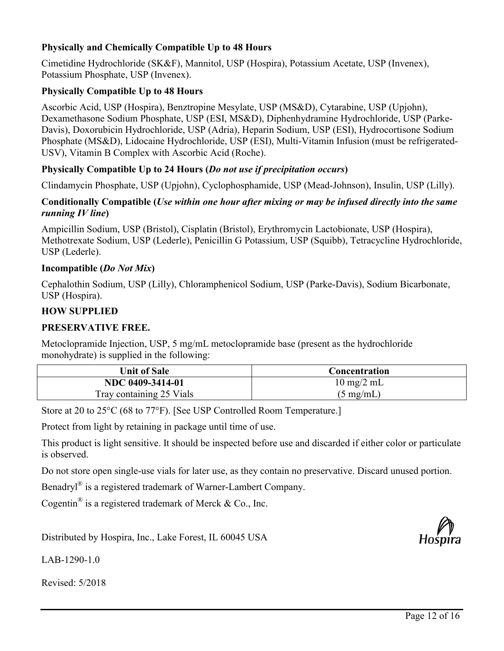### **Physically and Chemically Compatible Up to 48 Hours**

Cimetidine Hydrochloride (SK&F), Mannitol, USP (Hospira), Potassium Acetate, USP (Invenex), Potassium Phosphate, USP (Invenex).

### **Physically Compatible Up to 48 Hours**

Ascorbic Acid, USP (Hospira), Benztropine Mesylate, USP (MS&D), Cytarabine, USP (Upjohn), Dexamethasone Sodium Phosphate, USP (ESI, MS&D), Diphenhydramine Hydrochloride, USP (Parke-Davis), Doxorubicin Hydrochloride, USP (Adria), Heparin Sodium, USP (ESI), Hydrocortisone Sodium Phosphate (MS&D), Lidocaine Hydrochloride, USP (ESI), Multi-Vitamin Infusion (must be refrigerated-USV), Vitamin B Complex with Ascorbic Acid (Roche).

## **Physically Compatible Up to 24 Hours (***Do not use if precipitation occurs***)**

Clindamycin Phosphate, USP (Upjohn), Cyclophosphamide, USP (Mead-Johnson), Insulin, USP (Lilly).

### **Conditionally Compatible (***Use within one hour after mixing or may be infused directly into the same running IV line***)**

Ampicillin Sodium, USP (Bristol), Cisplatin (Bristol), Erythromycin Lactobionate, USP (Hospira), Methotrexate Sodium, USP (Lederle), Penicillin G Potassium, USP (Squibb), Tetracycline Hydrochloride, USP (Lederle).

### **Incompatible (***Do Not Mix***)**

Cephalothin Sodium, USP (Lilly), Chloramphenicol Sodium, USP (Parke-Davis), Sodium Bicarbonate, USP (Hospira).

#### **HOW SUPPLIED**

#### **PRESERVATIVE FREE.**

Metoclopramide Injection, USP, 5 mg/mL metoclopramide base (present as the hydrochloride monohydrate) is supplied in the following:

| <b>Unit of Sale</b>      | Concentration                |
|--------------------------|------------------------------|
| NDC 0409-3414-01         | $10 \text{ mg}/2 \text{ mL}$ |
| Tray containing 25 Vials | $(5 \text{ mg/mL})$          |

Store at 20 to 25°C (68 to 77°F). [See USP Controlled Room Temperature.]

Protect from light by retaining in package until time of use.

This product is light sensitive. It should be inspected before use and discarded if either color or particulate is observed.

Do not store open single-use vials for later use, as they contain no preservative. Discard unused portion.

Benadryl® is a registered trademark of Warner-Lambert Company.

Cogentin<sup>®</sup> is a registered trademark of Merck & Co., Inc.

Distributed by Hospira, Inc., Lake Forest, IL 60045 USA

LAB-1290-1.0

Revised: 5/2018

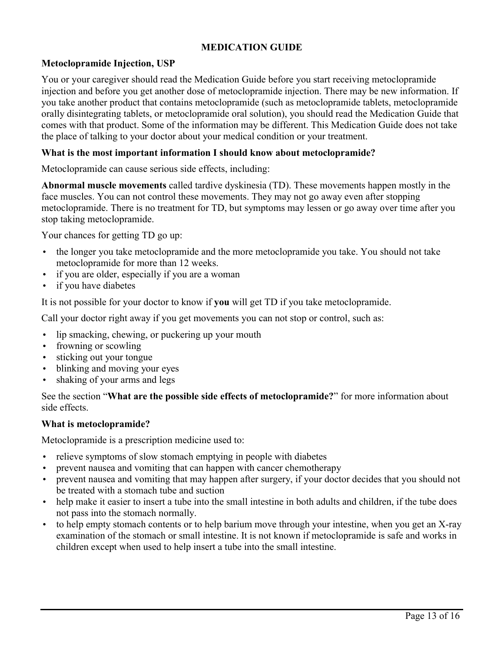### **MEDICATION GUIDE**

### **Metoclopramide Injection, USP**

You or your caregiver should read the Medication Guide before you start receiving metoclopramide injection and before you get another dose of metoclopramide injection. There may be new information. If you take another product that contains metoclopramide (such as metoclopramide tablets, metoclopramide orally disintegrating tablets, or metoclopramide oral solution), you should read the Medication Guide that comes with that product. Some of the information may be different. This Medication Guide does not take the place of talking to your doctor about your medical condition or your treatment.

#### **What is the most important information I should know about metoclopramide?**

Metoclopramide can cause serious side effects, including:

**Abnormal muscle movements** called tardive dyskinesia (TD). These movements happen mostly in the face muscles. You can not control these movements. They may not go away even after stopping metoclopramide. There is no treatment for TD, but symptoms may lessen or go away over time after you stop taking metoclopramide.

Your chances for getting TD go up:

- the longer you take metoclopramide and the more metoclopramide you take. You should not take metoclopramide for more than 12 weeks.
- if you are older, especially if you are a woman
- if you have diabetes

It is not possible for your doctor to know if **you** will get TD if you take metoclopramide.

Call your doctor right away if you get movements you can not stop or control, such as:

- lip smacking, chewing, or puckering up your mouth
- frowning or scowling
- sticking out your tongue
- blinking and moving your eyes
- shaking of your arms and legs

See the section "**What are the possible side effects of metoclopramide?**" for more information about side effects.

### **What is metoclopramide?**

Metoclopramide is a prescription medicine used to:

- relieve symptoms of slow stomach emptying in people with diabetes
- prevent nausea and vomiting that can happen with cancer chemotherapy
- prevent nausea and vomiting that may happen after surgery, if your doctor decides that you should not be treated with a stomach tube and suction
- help make it easier to insert a tube into the small intestine in both adults and children, if the tube does not pass into the stomach normally.
- to help empty stomach contents or to help barium move through your intestine, when you get an X-ray examination of the stomach or small intestine. It is not known if metoclopramide is safe and works in children except when used to help insert a tube into the small intestine.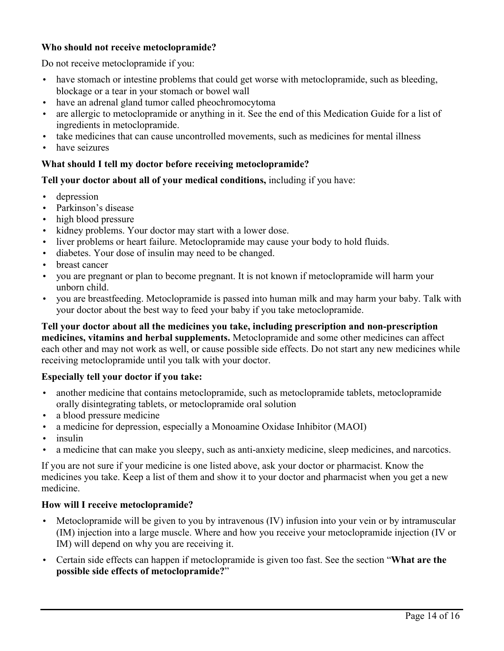### **Who should not receive metoclopramide?**

Do not receive metoclopramide if you:

- have stomach or intestine problems that could get worse with metoclopramide, such as bleeding, blockage or a tear in your stomach or bowel wall
- have an adrenal gland tumor called pheochromocytoma
- are allergic to metoclopramide or anything in it. See the end of this Medication Guide for a list of ingredients in metoclopramide.
- take medicines that can cause uncontrolled movements, such as medicines for mental illness
- have seizures

# **What should I tell my doctor before receiving metoclopramide?**

**Tell your doctor about all of your medical conditions,** including if you have:

- depression
- Parkinson's disease
- high blood pressure
- kidney problems. Your doctor may start with a lower dose.
- liver problems or heart failure. Metoclopramide may cause your body to hold fluids.
- diabetes. Your dose of insulin may need to be changed.
- breast cancer
- you are pregnant or plan to become pregnant. It is not known if metoclopramide will harm your unborn child.
- you are breastfeeding. Metoclopramide is passed into human milk and may harm your baby. Talk with your doctor about the best way to feed your baby if you take metoclopramide.

**Tell your doctor about all the medicines you take, including prescription and non-prescription medicines, vitamins and herbal supplements.** Metoclopramide and some other medicines can affect each other and may not work as well, or cause possible side effects. Do not start any new medicines while receiving metoclopramide until you talk with your doctor.

### **Especially tell your doctor if you take:**

- another medicine that contains metoclopramide, such as metoclopramide tablets, metoclopramide orally disintegrating tablets, or metoclopramide oral solution
- a blood pressure medicine
- a medicine for depression, especially a Monoamine Oxidase Inhibitor (MAOI)
- insulin
- a medicine that can make you sleepy, such as anti-anxiety medicine, sleep medicines, and narcotics.

If you are not sure if your medicine is one listed above, ask your doctor or pharmacist. Know the medicines you take. Keep a list of them and show it to your doctor and pharmacist when you get a new medicine.

### **How will I receive metoclopramide?**

- Metoclopramide will be given to you by intravenous (IV) infusion into your vein or by intramuscular (IM) injection into a large muscle. Where and how you receive your metoclopramide injection (IV or IM) will depend on why you are receiving it.
- Certain side effects can happen if metoclopramide is given too fast. See the section "**What are the possible side effects of metoclopramide?**"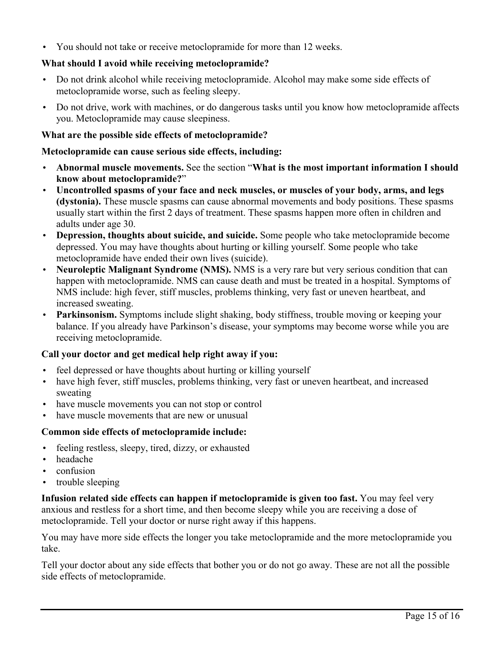• You should not take or receive metoclopramide for more than 12 weeks.

## **What should I avoid while receiving metoclopramide?**

- Do not drink alcohol while receiving metoclopramide. Alcohol may make some side effects of metoclopramide worse, such as feeling sleepy.
- Do not drive, work with machines, or do dangerous tasks until you know how metoclopramide affects you. Metoclopramide may cause sleepiness.

#### **What are the possible side effects of metoclopramide?**

#### **Metoclopramide can cause serious side effects, including:**

- **Abnormal muscle movements.** See the section "**What is the most important information I should know about metoclopramide?**"
- **Uncontrolled spasms of your face and neck muscles, or muscles of your body, arms, and legs (dystonia).** These muscle spasms can cause abnormal movements and body positions. These spasms usually start within the first 2 days of treatment. These spasms happen more often in children and adults under age 30.
- **Depression, thoughts about suicide, and suicide.** Some people who take metoclopramide become depressed. You may have thoughts about hurting or killing yourself. Some people who take metoclopramide have ended their own lives (suicide).
- **Neuroleptic Malignant Syndrome (NMS).** NMS is a very rare but very serious condition that can happen with metoclopramide. NMS can cause death and must be treated in a hospital. Symptoms of NMS include: high fever, stiff muscles, problems thinking, very fast or uneven heartbeat, and increased sweating.
- **Parkinsonism.** Symptoms include slight shaking, body stiffness, trouble moving or keeping your balance. If you already have Parkinson's disease, your symptoms may become worse while you are receiving metoclopramide.

### **Call your doctor and get medical help right away if you:**

- feel depressed or have thoughts about hurting or killing yourself
- have high fever, stiff muscles, problems thinking, very fast or uneven heartbeat, and increased sweating
- have muscle movements you can not stop or control
- have muscle movements that are new or unusual

### **Common side effects of metoclopramide include:**

- feeling restless, sleepy, tired, dizzy, or exhausted
- headache
- confusion
- trouble sleeping

**Infusion related side effects can happen if metoclopramide is given too fast.** You may feel very anxious and restless for a short time, and then become sleepy while you are receiving a dose of metoclopramide. Tell your doctor or nurse right away if this happens.

You may have more side effects the longer you take metoclopramide and the more metoclopramide you take.

Tell your doctor about any side effects that bother you or do not go away. These are not all the possible side effects of metoclopramide.